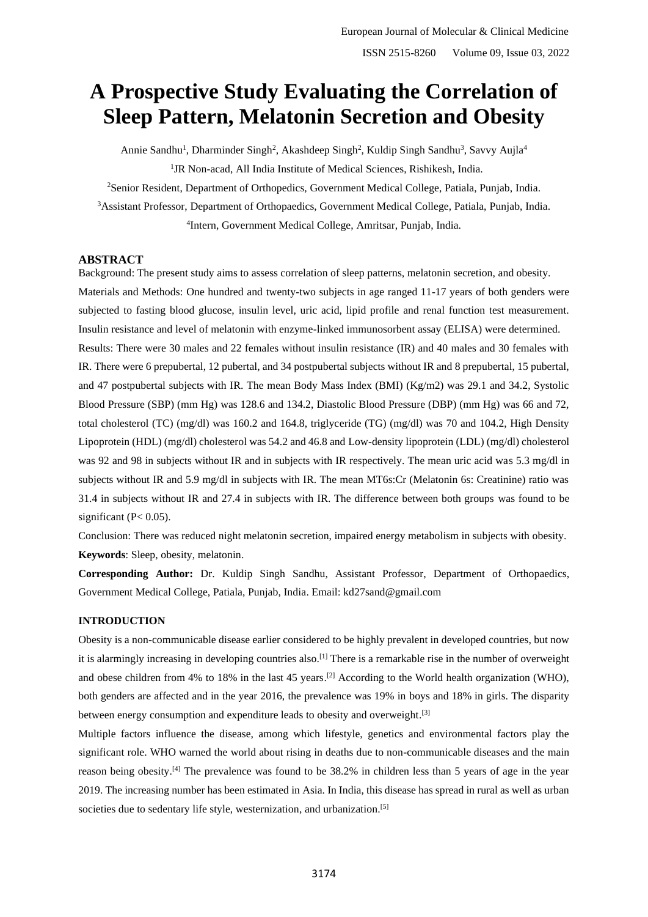# **A Prospective Study Evaluating the Correlation of Sleep Pattern, Melatonin Secretion and Obesity**

Annie Sandhu<sup>1</sup>, Dharminder Singh<sup>2</sup>, Akashdeep Singh<sup>2</sup>, Kuldip Singh Sandhu<sup>3</sup>, Savvy Aujla<sup>4</sup> 1 <sup>1</sup>JR Non-acad, All India Institute of Medical Sciences, Rishikesh, India.

<sup>2</sup>Senior Resident, Department of Orthopedics, Government Medical College, Patiala, Punjab, India. <sup>3</sup>Assistant Professor, Department of Orthopaedics, Government Medical College, Patiala, Punjab, India. 4 Intern, Government Medical College, Amritsar, Punjab, India.

#### **ABSTRACT**

Background: The present study aims to assess correlation of sleep patterns, melatonin secretion, and obesity. Materials and Methods: One hundred and twenty-two subjects in age ranged 11-17 years of both genders were subjected to fasting blood glucose, insulin level, uric acid, lipid profile and renal function test measurement. Insulin resistance and level of melatonin with enzyme-linked immunosorbent assay (ELISA) were determined. Results: There were 30 males and 22 females without insulin resistance (IR) and 40 males and 30 females with IR. There were 6 prepubertal, 12 pubertal, and 34 postpubertal subjects without IR and 8 prepubertal, 15 pubertal, and 47 postpubertal subjects with IR. The mean Body Mass Index (BMI) (Kg/m2) was 29.1 and 34.2, Systolic Blood Pressure (SBP) (mm Hg) was 128.6 and 134.2, Diastolic Blood Pressure (DBP) (mm Hg) was 66 and 72, total cholesterol (TC) (mg/dl) was 160.2 and 164.8, triglyceride (TG) (mg/dl) was 70 and 104.2, High Density Lipoprotein (HDL) (mg/dl) cholesterol was 54.2 and 46.8 and Low-density lipoprotein (LDL) (mg/dl) cholesterol was 92 and 98 in subjects without IR and in subjects with IR respectively. The mean uric acid was 5.3 mg/dl in subjects without IR and 5.9 mg/dl in subjects with IR. The mean MT6s:Cr (Melatonin 6s: Creatinine) ratio was 31.4 in subjects without IR and 27.4 in subjects with IR. The difference between both groups was found to be significant (P< 0.05).

Conclusion: There was reduced night melatonin secretion, impaired energy metabolism in subjects with obesity. **Keywords**: Sleep, obesity, melatonin.

**Corresponding Author:** Dr. Kuldip Singh Sandhu, Assistant Professor, Department of Orthopaedics, Government Medical College, Patiala, Punjab, India. Email: kd27sand@gmail.com

#### **INTRODUCTION**

Obesity is a non-communicable disease earlier considered to be highly prevalent in developed countries, but now it is alarmingly increasing in developing countries also.<sup>[1]</sup> There is a remarkable rise in the number of overweight and obese children from 4% to 18% in the last 45 years.<sup>[2]</sup> According to the World health organization (WHO), both genders are affected and in the year 2016, the prevalence was 19% in boys and 18% in girls. The disparity between energy consumption and expenditure leads to obesity and overweight.<sup>[3]</sup>

Multiple factors influence the disease, among which lifestyle, genetics and environmental factors play the significant role. WHO warned the world about rising in deaths due to non-communicable diseases and the main reason being obesity.<sup>[4]</sup> The prevalence was found to be 38.2% in children less than 5 years of age in the year 2019. The increasing number has been estimated in Asia. In India, this disease has spread in rural as well as urban societies due to sedentary life style, westernization, and urbanization.<sup>[5]</sup>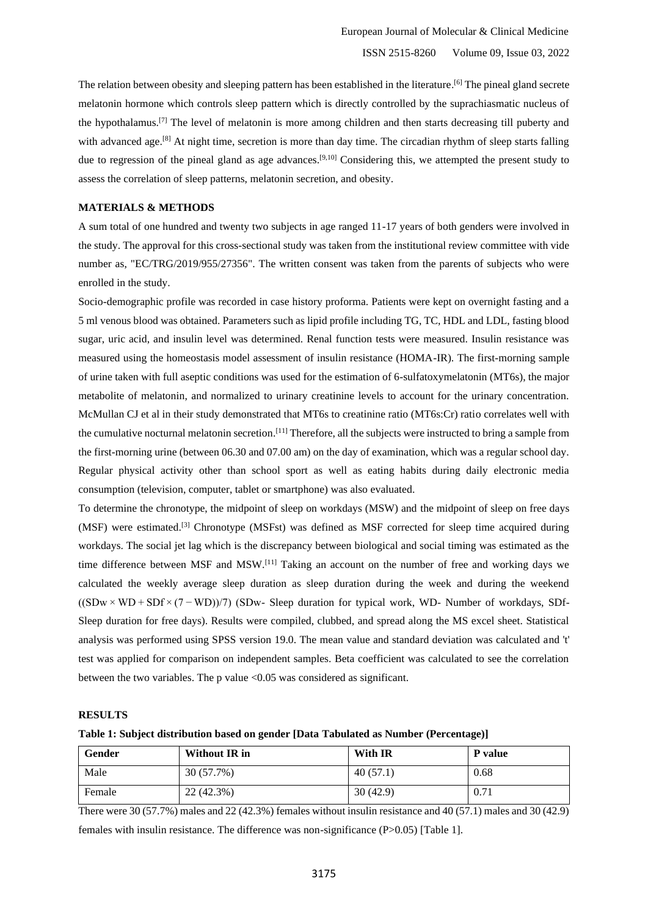The relation between obesity and sleeping pattern has been established in the literature.<sup>[6]</sup> The pineal gland secrete melatonin hormone which controls sleep pattern which is directly controlled by the suprachiasmatic nucleus of the hypothalamus.<sup>[7]</sup> The level of melatonin is more among children and then starts decreasing till puberty and with advanced age.<sup>[8]</sup> At night time, secretion is more than day time. The circadian rhythm of sleep starts falling due to regression of the pineal gland as age advances.<sup>[9,10]</sup> Considering this, we attempted the present study to assess the correlation of sleep patterns, melatonin secretion, and obesity.

#### **MATERIALS & METHODS**

A sum total of one hundred and twenty two subjects in age ranged 11-17 years of both genders were involved in the study. The approval for this cross-sectional study was taken from the institutional review committee with vide number as, "EC/TRG/2019/955/27356". The written consent was taken from the parents of subjects who were enrolled in the study.

Socio-demographic profile was recorded in case history proforma. Patients were kept on overnight fasting and a 5 ml venous blood was obtained. Parameters such as lipid profile including TG, TC, HDL and LDL, fasting blood sugar, uric acid, and insulin level was determined. Renal function tests were measured. Insulin resistance was measured using the homeostasis model assessment of insulin resistance (HOMA-IR). The first-morning sample of urine taken with full aseptic conditions was used for the estimation of 6-sulfatoxymelatonin (MT6s), the major metabolite of melatonin, and normalized to urinary creatinine levels to account for the urinary concentration. McMullan CJ et al in their study demonstrated that MT6s to creatinine ratio (MT6s:Cr) ratio correlates well with the cumulative nocturnal melatonin secretion.<sup>[11]</sup> Therefore, all the subjects were instructed to bring a sample from the first-morning urine (between 06.30 and 07.00 am) on the day of examination, which was a regular school day. Regular physical activity other than school sport as well as eating habits during daily electronic media consumption (television, computer, tablet or smartphone) was also evaluated.

To determine the chronotype, the midpoint of sleep on workdays (MSW) and the midpoint of sleep on free days (MSF) were estimated.<sup>[3]</sup> Chronotype (MSFst) was defined as MSF corrected for sleep time acquired during workdays. The social jet lag which is the discrepancy between biological and social timing was estimated as the time difference between MSF and MSW.<sup>[11]</sup> Taking an account on the number of free and working days we calculated the weekly average sleep duration as sleep duration during the week and during the weekend ((SDw × WD + SDf × (7 − WD))/7) (SDw- Sleep duration for typical work, WD- Number of workdays, SDf-Sleep duration for free days). Results were compiled, clubbed, and spread along the MS excel sheet. Statistical analysis was performed using SPSS version 19.0. The mean value and standard deviation was calculated and 't' test was applied for comparison on independent samples. Beta coefficient was calculated to see the correlation between the two variables. The p value <0.05 was considered as significant.

#### **RESULTS**

#### **Table 1: Subject distribution based on gender [Data Tabulated as Number (Percentage)]**

| Gender | Without IR in | With IR  | P value |
|--------|---------------|----------|---------|
| Male   | 30 (57.7%)    | 40(57.1) | 0.68    |
| Female | 22 (42.3%)    | 30(42.9) | 0.71    |

There were 30 (57.7%) males and 22 (42.3%) females without insulin resistance and 40 (57.1) males and 30 (42.9) females with insulin resistance. The difference was non-significance (P>0.05) [Table 1].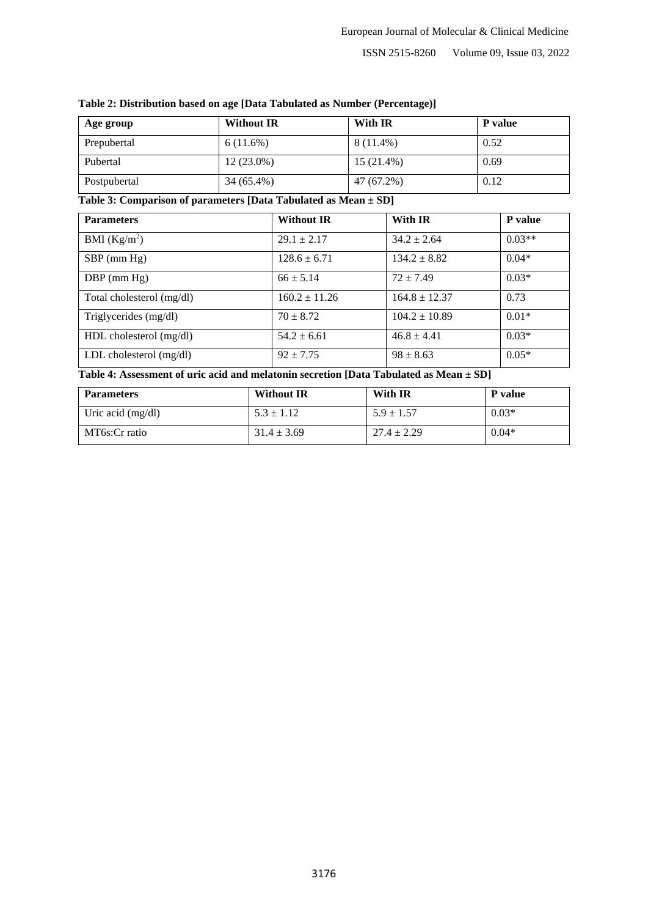#### ISSN 2515-8260 Volume 09, Issue 03, 2022

| Age group    | <b>Without IR</b> | With IR     | <b>P</b> value |
|--------------|-------------------|-------------|----------------|
| Prepubertal  | 6(11.6%)          | $8(11.4\%)$ | 0.52           |
| Pubertal     | $12(23.0\%)$      | 15 (21.4%)  | 0.69           |
| Postpubertal | 34 (65.4%)        | 47 (67.2%)  | 0.12           |

#### **Table 2: Distribution based on age [Data Tabulated as Number (Percentage)]**

### **Table 3: Comparison of parameters [Data Tabulated as Mean ± SD]**

| <b>Parameters</b>         | <b>Without IR</b> | With IR           | P value  |
|---------------------------|-------------------|-------------------|----------|
| BMI $(Kg/m^2)$            | $29.1 \pm 2.17$   | $34.2 \pm 2.64$   | $0.03**$ |
| $SBP$ (mm Hg)             | $128.6 \pm 6.71$  | $134.2 \pm 8.82$  | $0.04*$  |
| $DBP$ (mm Hg)             | $66 \pm 5.14$     | $72 + 7.49$       | $0.03*$  |
| Total cholesterol (mg/dl) | $160.2 \pm 11.26$ | $164.8 \pm 12.37$ | 0.73     |
| Triglycerides (mg/dl)     | $70 \pm 8.72$     | $104.2 \pm 10.89$ | $0.01*$  |
| HDL cholesterol (mg/dl)   | $54.2 \pm 6.61$   | $46.8 \pm 4.41$   | $0.03*$  |
| LDL cholesterol $(mg/dl)$ | $92 \pm 7.75$     | $98 \pm 8.63$     | $0.05*$  |

## **Table 4: Assessment of uric acid and melatonin secretion [Data Tabulated as Mean ± SD]**

| <b>Parameters</b>   | <b>Without IR</b> | With IR         | P value |
|---------------------|-------------------|-----------------|---------|
| Uric acid $(mg/dl)$ | $5.3 \pm 1.12$    | $5.9 \pm 1.57$  | $0.03*$ |
| MT6s:Cr ratio       | $31.4 \pm 3.69$   | $27.4 \pm 2.29$ | $0.04*$ |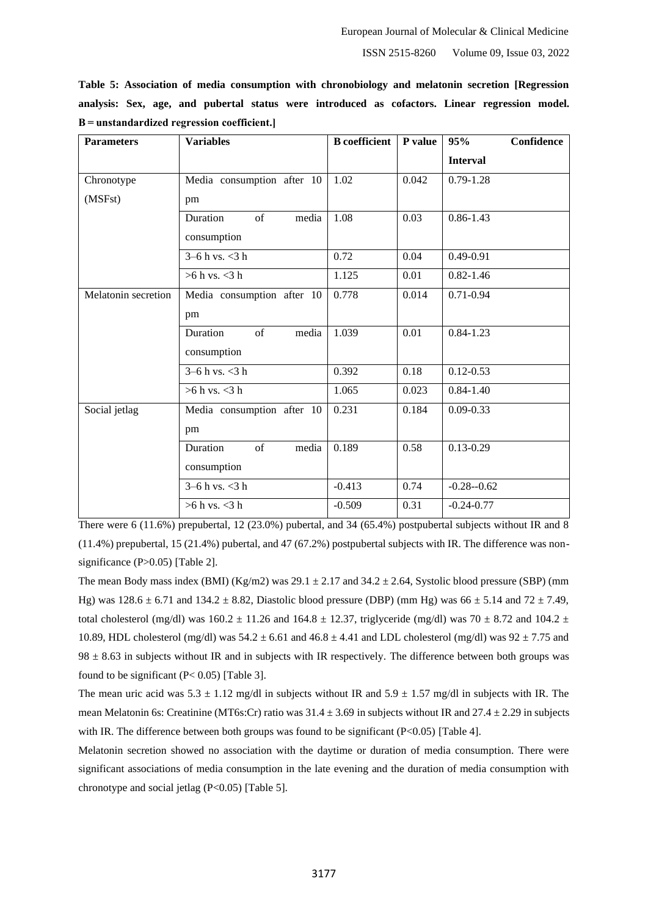ISSN 2515-8260 Volume 09, Issue 03, 2022

|  |  |                                              |  | Table 5: Association of media consumption with chronobiology and melatonin secretion [Regression] |  |  |  |
|--|--|----------------------------------------------|--|---------------------------------------------------------------------------------------------------|--|--|--|
|  |  |                                              |  | analysis: Sex, age, and pubertal status were introduced as cofactors. Linear regression model.    |  |  |  |
|  |  | $B =$ unstandardized regression coefficient. |  |                                                                                                   |  |  |  |

| <b>Parameters</b>   | <b>Variables</b>           | <b>B</b> coefficient | P value  | Confidence<br>95% |
|---------------------|----------------------------|----------------------|----------|-------------------|
|                     |                            |                      |          | <b>Interval</b>   |
| Chronotype          | Media consumption after 10 | 1.02                 | 0.042    | $0.79 - 1.28$     |
| (MSFst)             | pm                         |                      |          |                   |
|                     | Duration<br>of<br>media    | 1.08                 | 0.03     | $0.86 - 1.43$     |
|                     | consumption                |                      |          |                   |
|                     | $3 - 6 h$ vs. $<$ 3 h      | 0.72                 | 0.04     | $0.49 - 0.91$     |
|                     | $>6$ h vs. $<$ 3 h         | 1.125                | 0.01     | $0.82 - 1.46$     |
| Melatonin secretion | Media consumption after 10 | 0.778                | 0.014    | $0.71 - 0.94$     |
|                     | pm                         |                      |          |                   |
|                     | Duration<br>of<br>media    | 1.039                | 0.01     | $0.84 - 1.23$     |
|                     | consumption                |                      |          |                   |
|                     | $3-6 h$ vs. $<$ 3 h        | 0.392                | $0.18\,$ | $0.12 - 0.53$     |
|                     | $>6$ h vs. $<$ 3 h         | 1.065                | 0.023    | $0.84 - 1.40$     |
| Social jetlag       | Media consumption after 10 | 0.231                | 0.184    | $0.09 - 0.33$     |
|                     | pm                         |                      |          |                   |
|                     | Duration<br>of<br>media    | 0.189                | 0.58     | $0.13 - 0.29$     |
|                     | consumption                |                      |          |                   |
|                     | $3 - 6 h$ vs. $<$ 3 h      | $-0.413$             | 0.74     | $-0.28 - 0.62$    |
|                     | $>6$ h vs. $<$ 3 h         | $-0.509$             | 0.31     | $-0.24 - 0.77$    |

There were 6 (11.6%) prepubertal, 12 (23.0%) pubertal, and 34 (65.4%) postpubertal subjects without IR and 8 (11.4%) prepubertal, 15 (21.4%) pubertal, and 47 (67.2%) postpubertal subjects with IR. The difference was nonsignificance (P>0.05) [Table 2].

The mean Body mass index (BMI) (Kg/m2) was  $29.1 \pm 2.17$  and  $34.2 \pm 2.64$ , Systolic blood pressure (SBP) (mm Hg) was  $128.6 \pm 6.71$  and  $134.2 \pm 8.82$ , Diastolic blood pressure (DBP) (mm Hg) was  $66 \pm 5.14$  and  $72 \pm 7.49$ , total cholesterol (mg/dl) was  $160.2 \pm 11.26$  and  $164.8 \pm 12.37$ , triglyceride (mg/dl) was  $70 \pm 8.72$  and  $104.2 \pm 12.37$ 10.89, HDL cholesterol (mg/dl) was  $54.2 \pm 6.61$  and  $46.8 \pm 4.41$  and LDL cholesterol (mg/dl) was  $92 \pm 7.75$  and  $98 \pm 8.63$  in subjects without IR and in subjects with IR respectively. The difference between both groups was found to be significant  $(P< 0.05)$  [Table 3].

The mean uric acid was  $5.3 \pm 1.12$  mg/dl in subjects without IR and  $5.9 \pm 1.57$  mg/dl in subjects with IR. The mean Melatonin 6s: Creatinine (MT6s:Cr) ratio was  $31.4 \pm 3.69$  in subjects without IR and  $27.4 \pm 2.29$  in subjects with IR. The difference between both groups was found to be significant (P<0.05) [Table 4].

Melatonin secretion showed no association with the daytime or duration of media consumption. There were significant associations of media consumption in the late evening and the duration of media consumption with chronotype and social jetlag (P<0.05) [Table 5].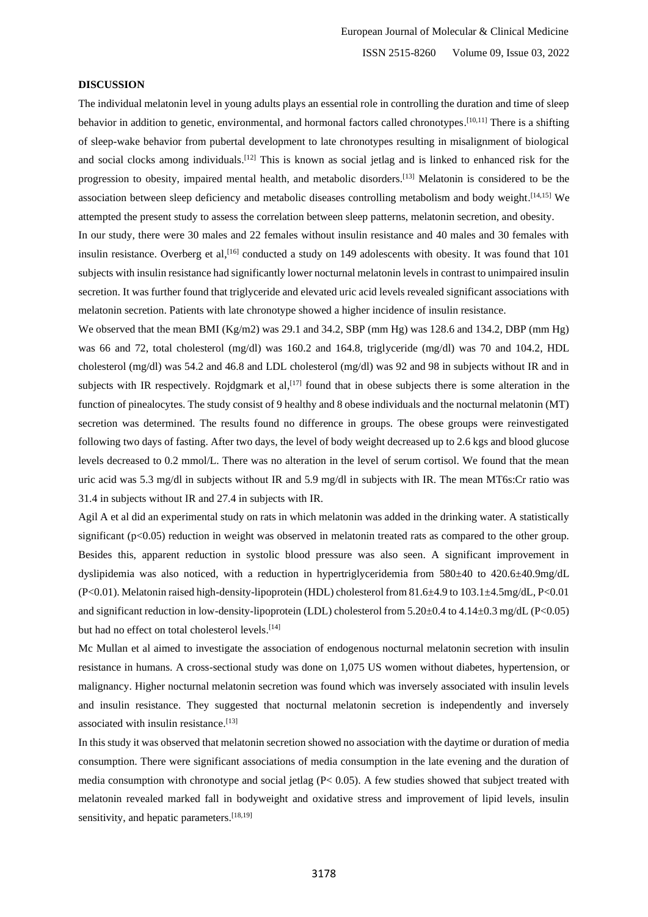#### **DISCUSSION**

The individual melatonin level in young adults plays an essential role in controlling the duration and time of sleep behavior in addition to genetic, environmental, and hormonal factors called chronotypes.<sup>[10,11]</sup> There is a shifting of sleep-wake behavior from pubertal development to late chronotypes resulting in misalignment of biological and social clocks among individuals.<sup>[12]</sup> This is known as social jetlag and is linked to enhanced risk for the progression to obesity, impaired mental health, and metabolic disorders.<sup>[13]</sup> Melatonin is considered to be the association between sleep deficiency and metabolic diseases controlling metabolism and body weight. [14,15] We attempted the present study to assess the correlation between sleep patterns, melatonin secretion, and obesity. In our study, there were 30 males and 22 females without insulin resistance and 40 males and 30 females with insulin resistance. Overberg et al,<sup>[16]</sup> conducted a study on 149 adolescents with obesity. It was found that 101

subjects with insulin resistance had significantly lower nocturnal melatonin levels in contrast to unimpaired insulin secretion. It was further found that triglyceride and elevated uric acid levels revealed significant associations with melatonin secretion. Patients with late chronotype showed a higher incidence of insulin resistance.

We observed that the mean BMI (Kg/m2) was 29.1 and 34.2, SBP (mm Hg) was 128.6 and 134.2, DBP (mm Hg) was 66 and 72, total cholesterol (mg/dl) was 160.2 and 164.8, triglyceride (mg/dl) was 70 and 104.2, HDL cholesterol (mg/dl) was 54.2 and 46.8 and LDL cholesterol (mg/dl) was 92 and 98 in subjects without IR and in subjects with IR respectively. Rojdgmark et al,  $[17]$  found that in obese subjects there is some alteration in the function of pinealocytes. The study consist of 9 healthy and 8 obese individuals and the nocturnal melatonin (MT) secretion was determined. The results found no difference in groups. The obese groups were reinvestigated following two days of fasting. After two days, the level of body weight decreased up to 2.6 kgs and blood glucose levels decreased to 0.2 mmol/L. There was no alteration in the level of serum cortisol. We found that the mean uric acid was 5.3 mg/dl in subjects without IR and 5.9 mg/dl in subjects with IR. The mean MT6s:Cr ratio was 31.4 in subjects without IR and 27.4 in subjects with IR.

Agil A et al did an experimental study on rats in which melatonin was added in the drinking water. A statistically significant (p<0.05) reduction in weight was observed in melatonin treated rats as compared to the other group. Besides this, apparent reduction in systolic blood pressure was also seen. A significant improvement in dyslipidemia was also noticed, with a reduction in hypertriglyceridemia from 580±40 to 420.6±40.9mg/dL (P<0.01). Melatonin raised high-density-lipoprotein (HDL) cholesterol from 81.6±4.9 to 103.1±4.5mg/dL, P<0.01 and significant reduction in low-density-lipoprotein (LDL) cholesterol from 5.20±0.4 to 4.14±0.3 mg/dL (P<0.05) but had no effect on total cholesterol levels.<sup>[14]</sup>

Mc Mullan et al aimed to investigate the association of endogenous nocturnal melatonin secretion with insulin resistance in humans. A cross-sectional study was done on 1,075 US women without diabetes, hypertension, or malignancy. Higher nocturnal melatonin secretion was found which was inversely associated with insulin levels and insulin resistance. They suggested that nocturnal melatonin secretion is independently and inversely associated with insulin resistance. [13]

In this study it was observed that melatonin secretion showed no association with the daytime or duration of media consumption. There were significant associations of media consumption in the late evening and the duration of media consumption with chronotype and social jetlag (P< 0.05). A few studies showed that subject treated with melatonin revealed marked fall in bodyweight and oxidative stress and improvement of lipid levels, insulin sensitivity, and hepatic parameters.<sup>[18,19]</sup>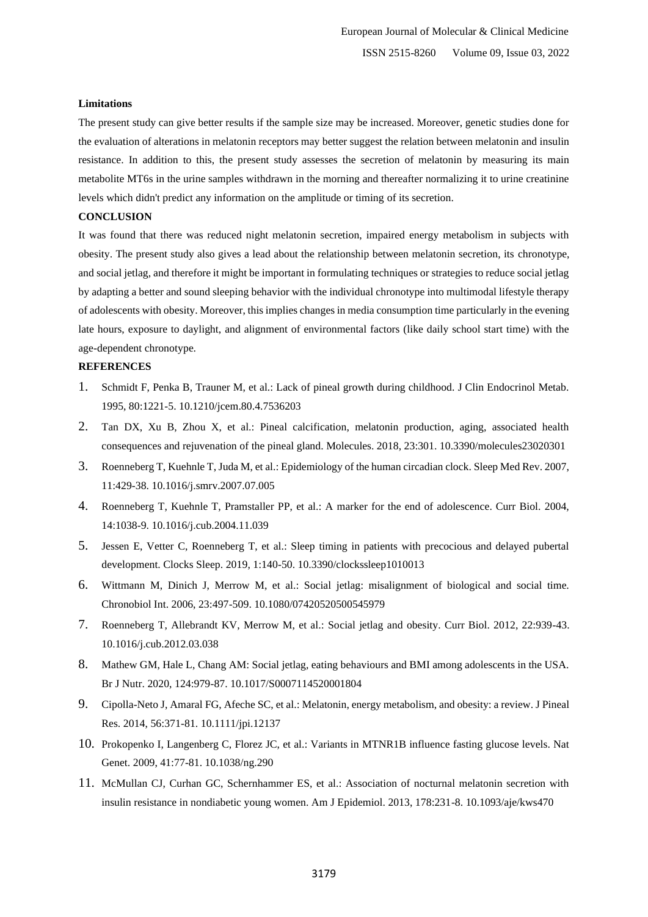#### **Limitations**

The present study can give better results if the sample size may be increased. Moreover, genetic studies done for the evaluation of alterations in melatonin receptors may better suggest the relation between melatonin and insulin resistance. In addition to this, the present study assesses the secretion of melatonin by measuring its main metabolite MT6s in the urine samples withdrawn in the morning and thereafter normalizing it to urine creatinine levels which didn't predict any information on the amplitude or timing of its secretion.

#### **CONCLUSION**

It was found that there was reduced night melatonin secretion, impaired energy metabolism in subjects with obesity. The present study also gives a lead about the relationship between melatonin secretion, its chronotype, and social jetlag, and therefore it might be important in formulating techniques or strategies to reduce social jetlag by adapting a better and sound sleeping behavior with the individual chronotype into multimodal lifestyle therapy of adolescents with obesity. Moreover, this implies changes in media consumption time particularly in the evening late hours, exposure to daylight, and alignment of environmental factors (like daily school start time) with the age-dependent chronotype.

#### **REFERENCES**

- 1. Schmidt F, Penka B, Trauner M, et al.: Lack of pineal growth during childhood. J Clin Endocrinol Metab. 1995, 80:1221-5. 10.1210/jcem.80.4.7536203
- 2. Tan DX, Xu B, Zhou X, et al.: Pineal calcification, melatonin production, aging, associated health consequences and rejuvenation of the pineal gland. Molecules. 2018, 23:301. 10.3390/molecules23020301
- 3. Roenneberg T, Kuehnle T, Juda M, et al.: Epidemiology of the human circadian clock. Sleep Med Rev. 2007, 11:429-38. 10.1016/j.smrv.2007.07.005
- 4. Roenneberg T, Kuehnle T, Pramstaller PP, et al.: A marker for the end of adolescence. Curr Biol. 2004, 14:1038-9. 10.1016/j.cub.2004.11.039
- 5. Jessen E, Vetter C, Roenneberg T, et al.: Sleep timing in patients with precocious and delayed pubertal development. Clocks Sleep. 2019, 1:140-50. 10.3390/clockssleep1010013
- 6. Wittmann M, Dinich J, Merrow M, et al.: Social jetlag: misalignment of biological and social time. Chronobiol Int. 2006, 23:497-509. 10.1080/07420520500545979
- 7. Roenneberg T, Allebrandt KV, Merrow M, et al.: Social jetlag and obesity. Curr Biol. 2012, 22:939-43. 10.1016/j.cub.2012.03.038
- 8. Mathew GM, Hale L, Chang AM: Social jetlag, eating behaviours and BMI among adolescents in the USA. Br J Nutr. 2020, 124:979-87. 10.1017/S0007114520001804
- 9. Cipolla-Neto J, Amaral FG, Afeche SC, et al.: Melatonin, energy metabolism, and obesity: a review. J Pineal Res. 2014, 56:371-81. 10.1111/jpi.12137
- 10. Prokopenko I, Langenberg C, Florez JC, et al.: Variants in MTNR1B influence fasting glucose levels. Nat Genet. 2009, 41:77-81. 10.1038/ng.290
- 11. McMullan CJ, Curhan GC, Schernhammer ES, et al.: Association of nocturnal melatonin secretion with insulin resistance in nondiabetic young women. Am J Epidemiol. 2013, 178:231-8. 10.1093/aje/kws470